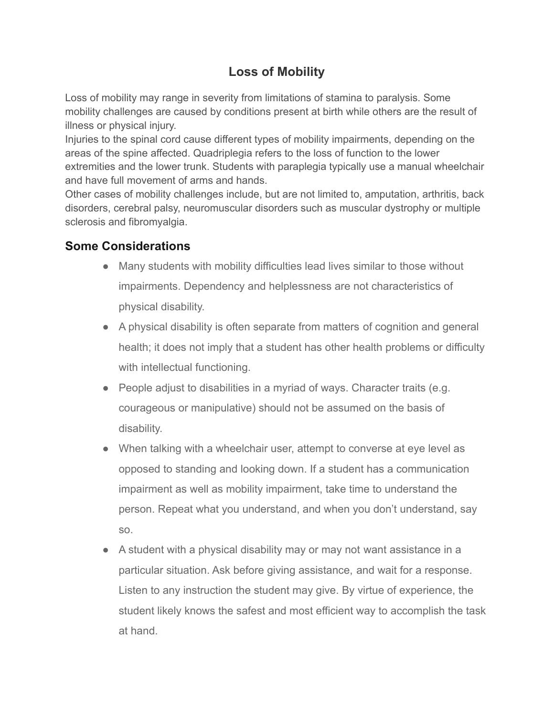## **Loss of Mobility**

Loss of mobility may range in severity from limitations of stamina to paralysis. Some mobility challenges are caused by conditions present at birth while others are the result of illness or physical injury.

Injuries to the spinal cord cause different types of mobility impairments, depending on the areas of the spine affected. Quadriplegia refers to the loss of function to the lower extremities and the lower trunk. Students with paraplegia typically use a manual wheelchair and have full movement of arms and hands.

Other cases of mobility challenges include, but are not limited to, amputation, arthritis, back disorders, cerebral palsy, neuromuscular disorders such as muscular dystrophy or multiple sclerosis and fibromyalgia.

## **Some Considerations**

- Many students with mobility difficulties lead lives similar to those without impairments. Dependency and helplessness are not characteristics of physical disability.
- A physical disability is often separate from matters of cognition and general health; it does not imply that a student has other health problems or difficulty with intellectual functioning.
- People adjust to disabilities in a myriad of ways. Character traits (e.g. courageous or manipulative) should not be assumed on the basis of disability.
- When talking with a wheelchair user, attempt to converse at eye level as opposed to standing and looking down. If a student has a communication impairment as well as mobility impairment, take time to understand the person. Repeat what you understand, and when you don't understand, say so.
- A student with a physical disability may or may not want assistance in a particular situation. Ask before giving assistance, and wait for a response. Listen to any instruction the student may give. By virtue of experience, the student likely knows the safest and most efficient way to accomplish the task at hand.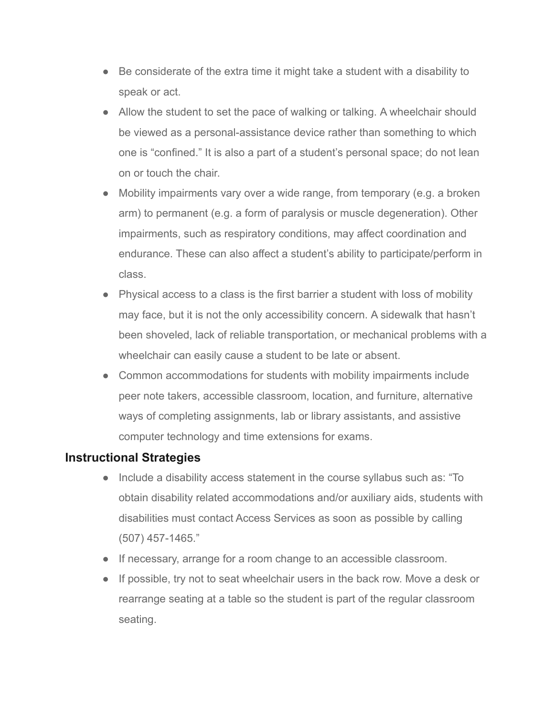- Be considerate of the extra time it might take a student with a disability to speak or act.
- Allow the student to set the pace of walking or talking. A wheelchair should be viewed as a personal-assistance device rather than something to which one is "confined." It is also a part of a student's personal space; do not lean on or touch the chair.
- Mobility impairments vary over a wide range, from temporary (e.g. a broken arm) to permanent (e.g. a form of paralysis or muscle degeneration). Other impairments, such as respiratory conditions, may affect coordination and endurance. These can also affect a student's ability to participate/perform in class.
- Physical access to a class is the first barrier a student with loss of mobility may face, but it is not the only accessibility concern. A sidewalk that hasn't been shoveled, lack of reliable transportation, or mechanical problems with a wheelchair can easily cause a student to be late or absent.
- Common accommodations for students with mobility impairments include peer note takers, accessible classroom, location, and furniture, alternative ways of completing assignments, lab or library assistants, and assistive computer technology and time extensions for exams.

## **Instructional Strategies**

- Include a disability access statement in the course syllabus such as: "To obtain disability related accommodations and/or auxiliary aids, students with disabilities must contact Access Services as soon as possible by calling (507) 457-1465."
- If necessary, arrange for a room change to an accessible classroom.
- If possible, try not to seat wheelchair users in the back row. Move a desk or rearrange seating at a table so the student is part of the regular classroom seating.